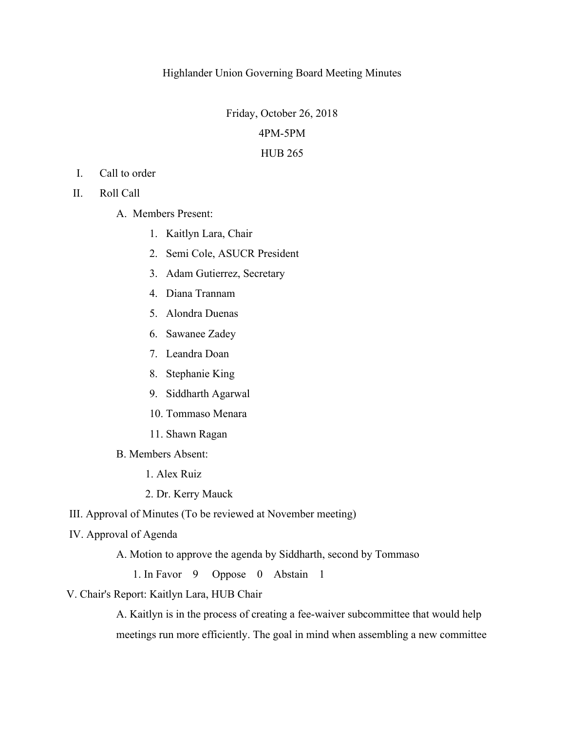## Highlander Union Governing Board Meeting Minutes

Friday, October 26, 2018

## 4PM-5PM

## HUB 265

- I. Call to order
- II. Roll Call
	- A. Members Present:
		- 1. Kaitlyn Lara, Chair
		- 2. Semi Cole, ASUCR President
		- 3. Adam Gutierrez, Secretary
		- 4. Diana Trannam
		- 5. Alondra Duenas
		- 6. Sawanee Zadey
		- 7. Leandra Doan
		- 8. Stephanie King
		- 9. Siddharth Agarwal
		- 10. Tommaso Menara
		- 11. Shawn Ragan
	- B. Members Absent:
		- 1. Alex Ruiz
		- 2. Dr. Kerry Mauck

III. Approval of Minutes (To be reviewed at November meeting)

- IV. Approval of Agenda
	- A. Motion to approve the agenda by Siddharth, second by Tommaso
		- 1. In Favor 9 Oppose 0 Abstain 1
- V. Chair's Report: Kaitlyn Lara, HUB Chair

A. Kaitlyn is in the process of creating a fee-waiver subcommittee that would help meetings run more efficiently. The goal in mind when assembling a new committee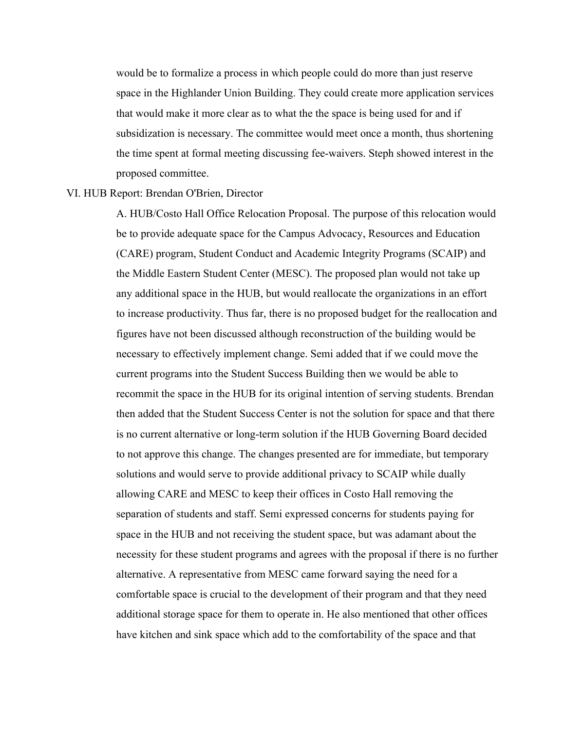would be to formalize a process in which people could do more than just reserve space in the Highlander Union Building. They could create more application services that would make it more clear as to what the the space is being used for and if subsidization is necessary. The committee would meet once a month, thus shortening the time spent at formal meeting discussing fee-waivers. Steph showed interest in the proposed committee.

## VI. HUB Report: Brendan O'Brien, Director

A. HUB/Costo Hall Office Relocation Proposal. The purpose of this relocation would be to provide adequate space for the Campus Advocacy, Resources and Education (CARE) program, Student Conduct and Academic Integrity Programs (SCAIP) and the Middle Eastern Student Center (MESC). The proposed plan would not take up any additional space in the HUB, but would reallocate the organizations in an effort to increase productivity. Thus far, there is no proposed budget for the reallocation and figures have not been discussed although reconstruction of the building would be necessary to effectively implement change. Semi added that if we could move the current programs into the Student Success Building then we would be able to recommit the space in the HUB for its original intention of serving students. Brendan then added that the Student Success Center is not the solution for space and that there is no current alternative or long-term solution if the HUB Governing Board decided to not approve this change. The changes presented are for immediate, but temporary solutions and would serve to provide additional privacy to SCAIP while dually allowing CARE and MESC to keep their offices in Costo Hall removing the separation of students and staff. Semi expressed concerns for students paying for space in the HUB and not receiving the student space, but was adamant about the necessity for these student programs and agrees with the proposal if there is no further alternative. A representative from MESC came forward saying the need for a comfortable space is crucial to the development of their program and that they need additional storage space for them to operate in. He also mentioned that other offices have kitchen and sink space which add to the comfortability of the space and that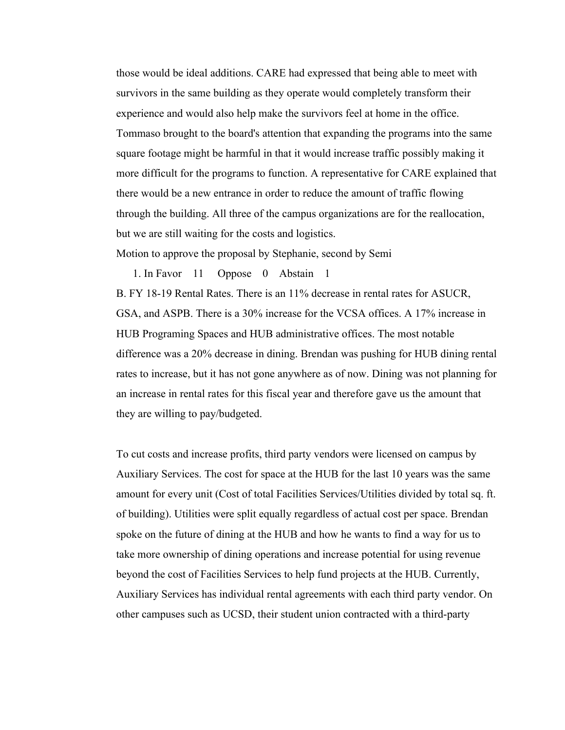those would be ideal additions. CARE had expressed that being able to meet with survivors in the same building as they operate would completely transform their experience and would also help make the survivors feel at home in the office. Tommaso brought to the board's attention that expanding the programs into the same square footage might be harmful in that it would increase traffic possibly making it more difficult for the programs to function. A representative for CARE explained that there would be a new entrance in order to reduce the amount of traffic flowing through the building. All three of the campus organizations are for the reallocation, but we are still waiting for the costs and logistics.

Motion to approve the proposal by Stephanie, second by Semi

1. In Favor 11 Oppose 0 Abstain 1 B. FY 18-19 Rental Rates. There is an 11% decrease in rental rates for ASUCR, GSA, and ASPB. There is a 30% increase for the VCSA offices. A 17% increase in HUB Programing Spaces and HUB administrative offices. The most notable difference was a 20% decrease in dining. Brendan was pushing for HUB dining rental rates to increase, but it has not gone anywhere as of now. Dining was not planning for an increase in rental rates for this fiscal year and therefore gave us the amount that they are willing to pay/budgeted.

To cut costs and increase profits, third party vendors were licensed on campus by Auxiliary Services. The cost for space at the HUB for the last 10 years was the same amount for every unit (Cost of total Facilities Services/Utilities divided by total sq. ft. of building). Utilities were split equally regardless of actual cost per space. Brendan spoke on the future of dining at the HUB and how he wants to find a way for us to take more ownership of dining operations and increase potential for using revenue beyond the cost of Facilities Services to help fund projects at the HUB. Currently, Auxiliary Services has individual rental agreements with each third party vendor. On other campuses such as UCSD, their student union contracted with a third-party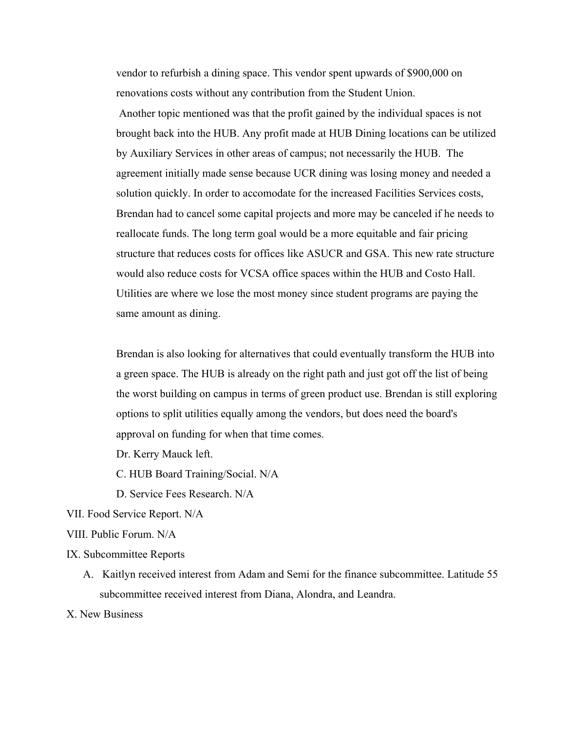vendor to refurbish a dining space. This vendor spent upwards of \$900,000 on renovations costs without any contribution from the Student Union. Another topic mentioned was that the profit gained by the individual spaces is not brought back into the HUB. Any profit made at HUB Dining locations can be utilized by Auxiliary Services in other areas of campus; not necessarily the HUB. The agreement initially made sense because UCR dining was losing money and needed a solution quickly. In order to accomodate for the increased Facilities Services costs, Brendan had to cancel some capital projects and more may be canceled if he needs to reallocate funds. The long term goal would be a more equitable and fair pricing structure that reduces costs for offices like ASUCR and GSA. This new rate structure would also reduce costs for VCSA office spaces within the HUB and Costo Hall. Utilities are where we lose the most money since student programs are paying the same amount as dining.

Brendan is also looking for alternatives that could eventually transform the HUB into a green space. The HUB is already on the right path and just got off the list of being the worst building on campus in terms of green product use. Brendan is still exploring options to split utilities equally among the vendors, but does need the board's approval on funding for when that time comes.

Dr. Kerry Mauck left.

C. HUB Board Training/Social. N/A

D. Service Fees Research. N/A

VII. Food Service Report. N/A

VIII. Public Forum. N/A

IX. Subcommittee Reports

A. Kaitlyn received interest from Adam and Semi for the finance subcommittee. Latitude 55 subcommittee received interest from Diana, Alondra, and Leandra.

X. New Business